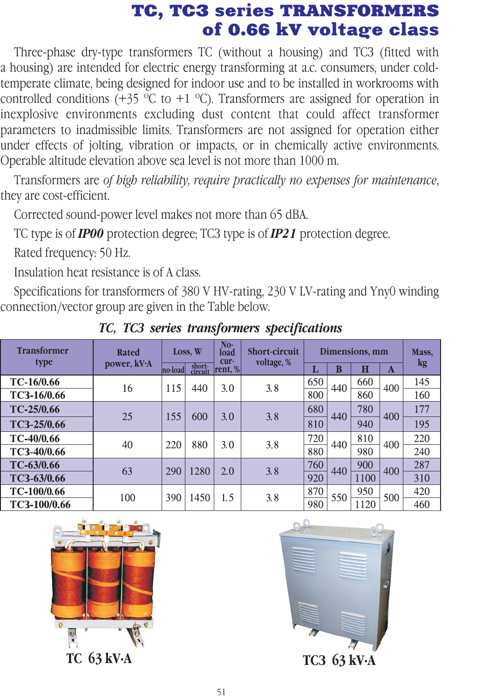## TC, TC3 series TRANSFORMERS<br>of 0.66 kV voltage class

Three-phase dry-type transformers TC (without a housing) and TC3 (fitted with a housing) are intended for electric energy transforming at a.c. consumers, under coldtemperate climate, being designed for indoor use and to be installed in workrooms with controlled conditions (+35  $\degree$ C to +1  $\degree$ C). Transformers are assigned for operation in inexplosive environments excluding dust content that could affect transformer parameters to inadmissible limits. Transformers are not assigned for operation either under effects of jolting, vibration or impacts, or in chemically active environments. Operable altitude elevation above sea level is not more than 1000 m.  $\sigma$   $\sigma$   $\sigma$  arithout a housing and TC3 (fitted with

Transformers are *of high reliability, require practically no expenses for maintenance*, they are cost-efficient.

Corrected sound-power level makes not more than 65 dBA.

TC type is of *IP00* protection degree; TC3 type is of *IP21* protection degree.

Rated frequency: 50 Hz.

Insulation heat resistance is of A class.

Specifications for transformers of 380 V HV-rating, 230 V LV-rating and Yny0 winding connection/vector group are given in the Table below.

| <b>Transformer</b><br>type | <b>Rated</b><br>power, kV·A | Loss, W         |                   | No-<br>load<br>cur- | <b>Short-circuit</b><br>voltage, % | Dimensions, mm |     |      |     | Mass, |
|----------------------------|-----------------------------|-----------------|-------------------|---------------------|------------------------------------|----------------|-----|------|-----|-------|
|                            |                             | <b>ho</b> -load | short-<br>circuit | rent, $%$           |                                    | ш              | B   | Π    | A   | kg    |
| TC-16/0.66                 | 16                          | 115             | 440               | 3.0                 | 3.8                                | 650            | 440 | 660  | 400 | 145   |
| TC3-16/0.66                |                             |                 |                   |                     |                                    | 800            |     | 860  |     | 160   |
| TC-25/0.66                 | 25                          | 155             | 600               | 3.0                 | 3.8                                | 680            | 440 | 780  | 400 | 177   |
| TC3-25/0.66                |                             |                 |                   |                     |                                    | 810            |     | 940  |     | 195   |
| TC-40/0.66                 | 40                          | 220             | 880               | 3.0                 | 3.8                                | 720            | 440 | 810  | 400 | 220   |
| TC3-40/0.66                |                             |                 |                   |                     |                                    | 880            |     | 980  |     | 240   |
| TC-63/0.66                 | 63                          | 290             | 1280              | 2.0                 | 3.8                                | 760            | 440 | 900  | 400 | 287   |
| TC3-63/0.66                |                             |                 |                   |                     |                                    | 920            |     | 1100 |     | 310   |
| TC-100/0.66                | 100                         | 390             | 1450              | 1.5                 | 3.8                                | 870            | 550 | 950  | 500 | 420   |
| TC3-100/0.66               |                             |                 |                   |                     |                                    | 980            |     | 1120 |     | 460   |

*ÒÑ, ÒÑÇ series transformers specifications*